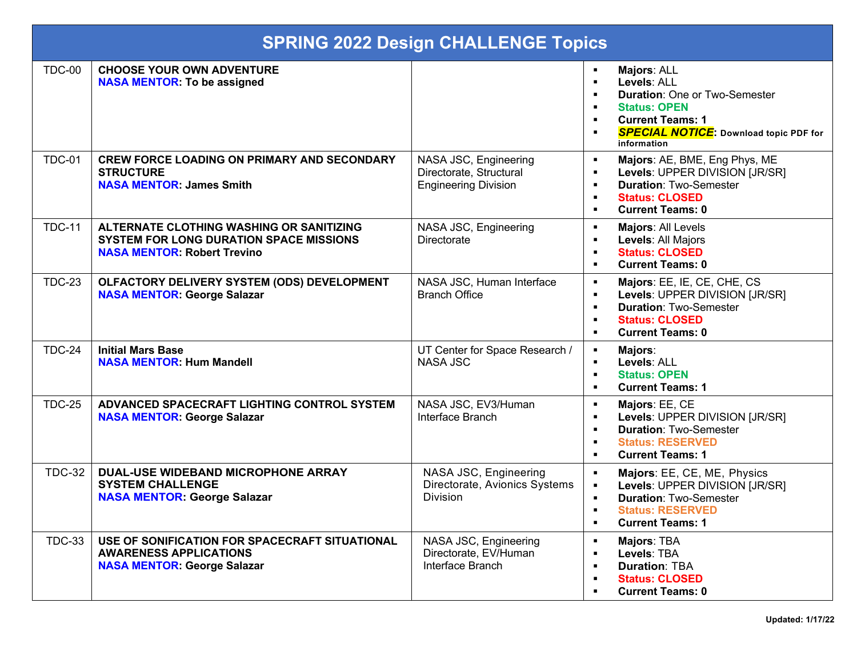| <b>SPRING 2022 Design CHALLENGE Topics</b> |                                                                                                                           |                                                                                 |                                                                                                                                                                                                                                              |
|--------------------------------------------|---------------------------------------------------------------------------------------------------------------------------|---------------------------------------------------------------------------------|----------------------------------------------------------------------------------------------------------------------------------------------------------------------------------------------------------------------------------------------|
| <b>TDC-00</b>                              | <b>CHOOSE YOUR OWN ADVENTURE</b><br><b>NASA MENTOR: To be assigned</b>                                                    |                                                                                 | Majors: ALL<br>Levels: ALL<br>$\blacksquare$<br><b>Duration: One or Two-Semester</b><br><b>Status: OPEN</b><br>٠<br><b>Current Teams: 1</b><br>$\blacksquare$<br><b>SPECIAL NOTICE:</b> Download topic PDF for<br>information                |
| <b>TDC-01</b>                              | <b>CREW FORCE LOADING ON PRIMARY AND SECONDARY</b><br><b>STRUCTURE</b><br><b>NASA MENTOR: James Smith</b>                 | NASA JSC, Engineering<br>Directorate, Structural<br><b>Engineering Division</b> | Majors: AE, BME, Eng Phys, ME<br>Levels: UPPER DIVISION [JR/SR]<br>$\blacksquare$<br><b>Duration: Two-Semester</b><br>$\blacksquare$<br><b>Status: CLOSED</b><br>$\blacksquare$<br><b>Current Teams: 0</b><br>$\blacksquare$                 |
| <b>TDC-11</b>                              | ALTERNATE CLOTHING WASHING OR SANITIZING<br>SYSTEM FOR LONG DURATION SPACE MISSIONS<br><b>NASA MENTOR: Robert Trevino</b> | NASA JSC, Engineering<br>Directorate                                            | Majors: All Levels<br>$\blacksquare$<br>Levels: All Majors<br>$\blacksquare$<br><b>Status: CLOSED</b><br>п<br><b>Current Teams: 0</b><br>$\blacksquare$                                                                                      |
| <b>TDC-23</b>                              | OLFACTORY DELIVERY SYSTEM (ODS) DEVELOPMENT<br><b>NASA MENTOR: George Salazar</b>                                         | NASA JSC, Human Interface<br><b>Branch Office</b>                               | Majors: EE, IE, CE, CHE, CS<br>$\blacksquare$<br>Levels: UPPER DIVISION [JR/SR]<br>$\blacksquare$<br><b>Duration: Two-Semester</b><br>$\blacksquare$<br><b>Status: CLOSED</b><br>$\blacksquare$<br><b>Current Teams: 0</b><br>$\blacksquare$ |
| <b>TDC-24</b>                              | <b>Initial Mars Base</b><br><b>NASA MENTOR: Hum Mandell</b>                                                               | UT Center for Space Research /<br><b>NASA JSC</b>                               | Majors:<br>$\blacksquare$<br>Levels: ALL<br><b>Status: OPEN</b><br>$\blacksquare$<br><b>Current Teams: 1</b><br>$\blacksquare$                                                                                                               |
| <b>TDC-25</b>                              | ADVANCED SPACECRAFT LIGHTING CONTROL SYSTEM<br><b>NASA MENTOR: George Salazar</b>                                         | NASA JSC, EV3/Human<br>Interface Branch                                         | Majors: EE, CE<br>$\blacksquare$<br>Levels: UPPER DIVISION [JR/SR]<br>$\blacksquare$<br><b>Duration: Two-Semester</b><br>$\blacksquare$<br><b>Status: RESERVED</b><br>$\blacksquare$<br><b>Current Teams: 1</b><br>$\blacksquare$            |
| <b>TDC-32</b>                              | DUAL-USE WIDEBAND MICROPHONE ARRAY<br><b>SYSTEM CHALLENGE</b><br><b>NASA MENTOR: George Salazar</b>                       | NASA JSC, Engineering<br>Directorate, Avionics Systems<br><b>Division</b>       | Majors: EE, CE, ME, Physics<br>$\blacksquare$<br>Levels: UPPER DIVISION [JR/SR]<br><b>Duration: Two-Semester</b><br><b>Status: RESERVED</b><br><b>Current Teams: 1</b><br>$\blacksquare$                                                     |
| <b>TDC-33</b>                              | USE OF SONIFICATION FOR SPACECRAFT SITUATIONAL<br><b>AWARENESS APPLICATIONS</b><br><b>NASA MENTOR: George Salazar</b>     | NASA JSC, Engineering<br>Directorate, EV/Human<br>Interface Branch              | Majors: TBA<br>٠<br>Levels: TBA<br>$\blacksquare$<br><b>Duration: TBA</b><br>$\blacksquare$<br><b>Status: CLOSED</b><br>$\blacksquare$<br><b>Current Teams: 0</b><br>п                                                                       |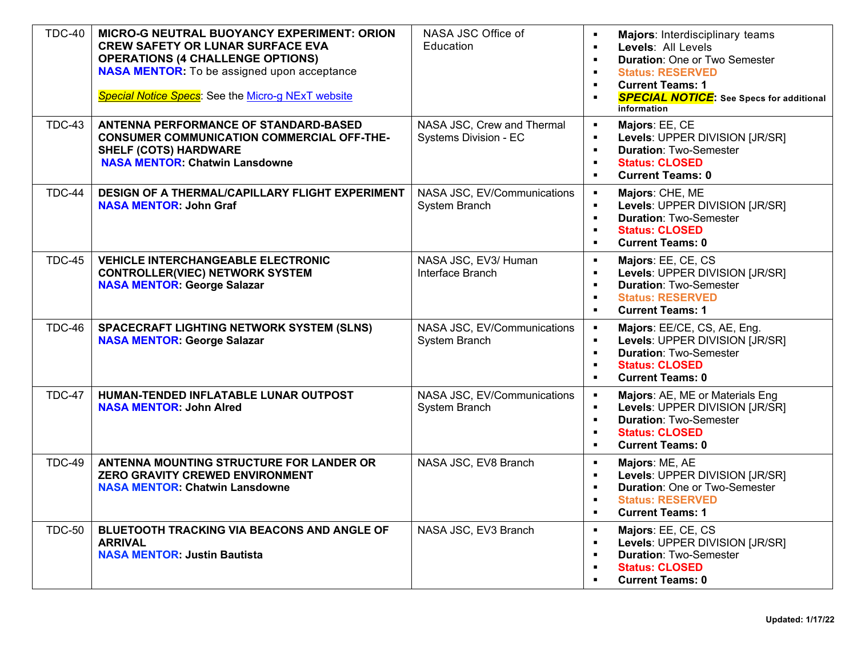| <b>TDC-40</b> | MICRO-G NEUTRAL BUOYANCY EXPERIMENT: ORION<br><b>CREW SAFETY OR LUNAR SURFACE EVA</b><br><b>OPERATIONS (4 CHALLENGE OPTIONS)</b><br><b>NASA MENTOR:</b> To be assigned upon acceptance<br>Special Notice Specs: See the Micro-g NExT website | NASA JSC Office of<br>Education                            | Majors: Interdisciplinary teams<br>Levels: All Levels<br><b>Duration: One or Two Semester</b><br><b>Status: RESERVED</b><br>$\blacksquare$<br><b>Current Teams: 1</b><br>$\blacksquare$<br><b>SPECIAL NOTICE:</b> See Specs for additional<br>information |
|---------------|----------------------------------------------------------------------------------------------------------------------------------------------------------------------------------------------------------------------------------------------|------------------------------------------------------------|-----------------------------------------------------------------------------------------------------------------------------------------------------------------------------------------------------------------------------------------------------------|
| <b>TDC-43</b> | ANTENNA PERFORMANCE OF STANDARD-BASED<br><b>CONSUMER COMMUNICATION COMMERCIAL OFF-THE-</b><br><b>SHELF (COTS) HARDWARE</b><br><b>NASA MENTOR. Chatwin Lansdowne</b>                                                                          | NASA JSC, Crew and Thermal<br><b>Systems Division - EC</b> | Majors: EE, CE<br>$\blacksquare$<br>Levels: UPPER DIVISION [JR/SR]<br>$\blacksquare$<br><b>Duration: Two-Semester</b><br>$\blacksquare$<br><b>Status: CLOSED</b><br>$\blacksquare$<br><b>Current Teams: 0</b><br>$\blacksquare$                           |
| <b>TDC-44</b> | DESIGN OF A THERMAL/CAPILLARY FLIGHT EXPERIMENT<br><b>NASA MENTOR: John Graf</b>                                                                                                                                                             | NASA JSC, EV/Communications<br>System Branch               | Majors: CHE, ME<br>Levels: UPPER DIVISION [JR/SR]<br>$\blacksquare$<br><b>Duration: Two-Semester</b><br>$\blacksquare$<br><b>Status: CLOSED</b><br>$\blacksquare$<br><b>Current Teams: 0</b><br>$\blacksquare$                                            |
| <b>TDC-45</b> | <b>VEHICLE INTERCHANGEABLE ELECTRONIC</b><br><b>CONTROLLER(VIEC) NETWORK SYSTEM</b><br><b>NASA MENTOR: George Salazar</b>                                                                                                                    | NASA JSC, EV3/ Human<br>Interface Branch                   | Majors: EE, CE, CS<br>$\blacksquare$<br>Levels: UPPER DIVISION [JR/SR]<br>$\blacksquare$<br><b>Duration: Two-Semester</b><br>$\blacksquare$<br><b>Status: RESERVED</b><br><b>Current Teams: 1</b><br>$\blacksquare$                                       |
| <b>TDC-46</b> | SPACECRAFT LIGHTING NETWORK SYSTEM (SLNS)<br><b>NASA MENTOR: George Salazar</b>                                                                                                                                                              | NASA JSC, EV/Communications<br>System Branch               | Majors: EE/CE, CS, AE, Eng.<br>$\blacksquare$<br>Levels: UPPER DIVISION [JR/SR]<br>$\blacksquare$<br><b>Duration: Two-Semester</b><br>$\blacksquare$<br><b>Status: CLOSED</b><br>$\blacksquare$<br><b>Current Teams: 0</b><br>$\blacksquare$              |
| <b>TDC-47</b> | HUMAN-TENDED INFLATABLE LUNAR OUTPOST<br><b>NASA MENTOR: John Alred</b>                                                                                                                                                                      | NASA JSC, EV/Communications<br>System Branch               | Majors: AE, ME or Materials Eng<br>$\blacksquare$<br>Levels: UPPER DIVISION [JR/SR]<br>$\blacksquare$<br><b>Duration: Two-Semester</b><br>$\blacksquare$<br><b>Status: CLOSED</b><br>$\blacksquare$<br><b>Current Teams: 0</b><br>$\blacksquare$          |
| <b>TDC-49</b> | ANTENNA MOUNTING STRUCTURE FOR LANDER OR<br>ZERO GRAVITY CREWED ENVIRONMENT<br><b>NASA MENTOR. Chatwin Lansdowne</b>                                                                                                                         | NASA JSC, EV8 Branch                                       | Majors: ME, AE<br>$\blacksquare$<br>Levels: UPPER DIVISION [JR/SR]<br>$\blacksquare$<br><b>Duration: One or Two-Semester</b><br>$\blacksquare$<br><b>Status: RESERVED</b><br>$\blacksquare$<br><b>Current Teams: 1</b><br>$\blacksquare$                  |
| <b>TDC-50</b> | BLUETOOTH TRACKING VIA BEACONS AND ANGLE OF<br><b>ARRIVAL</b><br><b>NASA MENTOR: Justin Bautista</b>                                                                                                                                         | NASA JSC, EV3 Branch                                       | Majors: EE, CE, CS<br>$\blacksquare$<br>Levels: UPPER DIVISION [JR/SR]<br>$\blacksquare$<br><b>Duration: Two-Semester</b><br>$\blacksquare$<br><b>Status: CLOSED</b><br><b>Current Teams: 0</b>                                                           |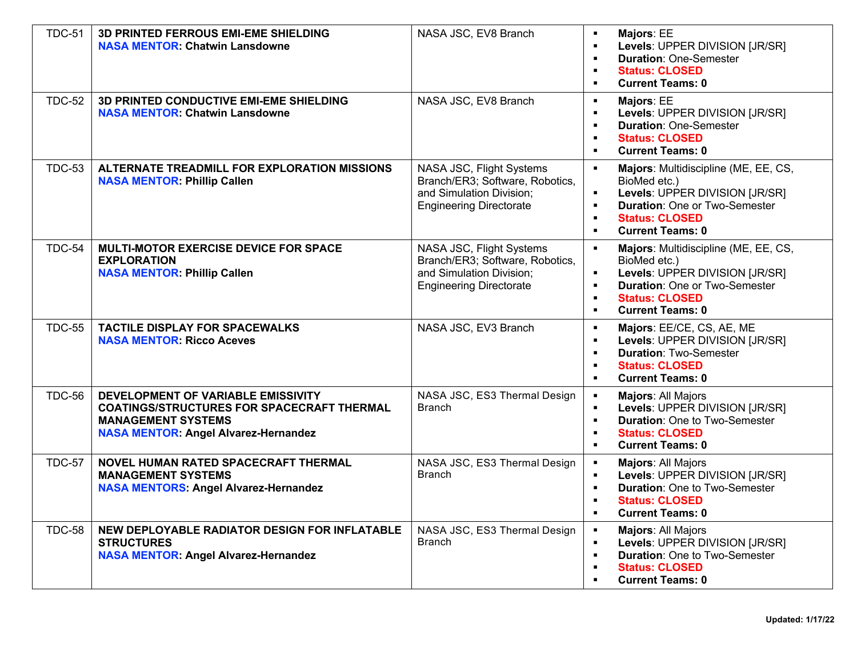| <b>TDC-51</b> | <b>3D PRINTED FERROUS EMI-EME SHIELDING</b><br><b>NASA MENTOR. Chatwin Lansdowne</b>                                                                                | NASA JSC, EV8 Branch                                                                                                      | Majors: EE<br>$\blacksquare$<br>Levels: UPPER DIVISION [JR/SR]<br>$\blacksquare$<br><b>Duration: One-Semester</b><br>$\blacksquare$<br><b>Status: CLOSED</b><br>$\blacksquare$<br><b>Current Teams: 0</b><br>$\blacksquare$                                                  |
|---------------|---------------------------------------------------------------------------------------------------------------------------------------------------------------------|---------------------------------------------------------------------------------------------------------------------------|------------------------------------------------------------------------------------------------------------------------------------------------------------------------------------------------------------------------------------------------------------------------------|
| <b>TDC-52</b> | 3D PRINTED CONDUCTIVE EMI-EME SHIELDING<br><b>NASA MENTOR: Chatwin Lansdowne</b>                                                                                    | NASA JSC, EV8 Branch                                                                                                      | Majors: EE<br>$\blacksquare$<br>Levels: UPPER DIVISION [JR/SR]<br>$\blacksquare$<br><b>Duration: One-Semester</b><br>$\blacksquare$<br><b>Status: CLOSED</b><br>$\blacksquare$<br><b>Current Teams: 0</b><br>$\blacksquare$                                                  |
| <b>TDC-53</b> | ALTERNATE TREADMILL FOR EXPLORATION MISSIONS<br><b>NASA MENTOR: Phillip Callen</b>                                                                                  | NASA JSC, Flight Systems<br>Branch/ER3; Software, Robotics,<br>and Simulation Division;<br><b>Engineering Directorate</b> | Majors: Multidiscipline (ME, EE, CS,<br>$\blacksquare$<br>BioMed etc.)<br>Levels: UPPER DIVISION [JR/SR]<br><b>Duration: One or Two-Semester</b><br>$\blacksquare$<br><b>Status: CLOSED</b><br>$\blacksquare$<br><b>Current Teams: 0</b><br>$\blacksquare$                   |
| <b>TDC-54</b> | MULTI-MOTOR EXERCISE DEVICE FOR SPACE<br><b>EXPLORATION</b><br><b>NASA MENTOR: Phillip Callen</b>                                                                   | NASA JSC, Flight Systems<br>Branch/ER3; Software, Robotics,<br>and Simulation Division;<br><b>Engineering Directorate</b> | Majors: Multidiscipline (ME, EE, CS,<br>$\blacksquare$<br>BioMed etc.)<br>Levels: UPPER DIVISION [JR/SR]<br>$\blacksquare$<br><b>Duration: One or Two-Semester</b><br>$\blacksquare$<br><b>Status: CLOSED</b><br>$\blacksquare$<br><b>Current Teams: 0</b><br>$\blacksquare$ |
| <b>TDC-55</b> | <b>TACTILE DISPLAY FOR SPACEWALKS</b><br><b>NASA MENTOR: Ricco Aceves</b>                                                                                           | NASA JSC, EV3 Branch                                                                                                      | $\blacksquare$<br>Majors: EE/CE, CS, AE, ME<br>Levels: UPPER DIVISION [JR/SR]<br>$\blacksquare$<br><b>Duration: Two-Semester</b><br>$\blacksquare$<br><b>Status: CLOSED</b><br>$\blacksquare$<br><b>Current Teams: 0</b><br>$\blacksquare$                                   |
| <b>TDC-56</b> | DEVELOPMENT OF VARIABLE EMISSIVITY<br><b>COATINGS/STRUCTURES FOR SPACECRAFT THERMAL</b><br><b>MANAGEMENT SYSTEMS</b><br><b>NASA MENTOR: Angel Alvarez-Hernandez</b> | NASA JSC, ES3 Thermal Design<br><b>Branch</b>                                                                             | $\blacksquare$<br>Majors: All Majors<br>Levels: UPPER DIVISION [JR/SR]<br>$\blacksquare$<br><b>Duration: One to Two-Semester</b><br>$\blacksquare$<br><b>Status: CLOSED</b><br>$\blacksquare$<br><b>Current Teams: 0</b><br>$\blacksquare$                                   |
| <b>TDC-57</b> | NOVEL HUMAN RATED SPACECRAFT THERMAL<br><b>MANAGEMENT SYSTEMS</b><br><b>NASA MENTORS: Angel Alvarez-Hernandez</b>                                                   | NASA JSC, ES3 Thermal Design<br><b>Branch</b>                                                                             | $\blacksquare$<br>Majors: All Majors<br>Levels: UPPER DIVISION [JR/SR]<br>$\blacksquare$<br><b>Duration: One to Two-Semester</b><br>$\blacksquare$<br><b>Status: CLOSED</b><br>$\blacksquare$<br><b>Current Teams: 0</b><br>$\blacksquare$                                   |
| <b>TDC-58</b> | NEW DEPLOYABLE RADIATOR DESIGN FOR INFLATABLE<br><b>STRUCTURES</b><br><b>NASA MENTOR: Angel Alvarez-Hernandez</b>                                                   | NASA JSC, ES3 Thermal Design<br><b>Branch</b>                                                                             | $\blacksquare$<br>Majors: All Majors<br>Levels: UPPER DIVISION [JR/SR]<br>$\blacksquare$<br><b>Duration: One to Two-Semester</b><br>$\blacksquare$<br><b>Status: CLOSED</b><br>$\blacksquare$<br><b>Current Teams: 0</b>                                                     |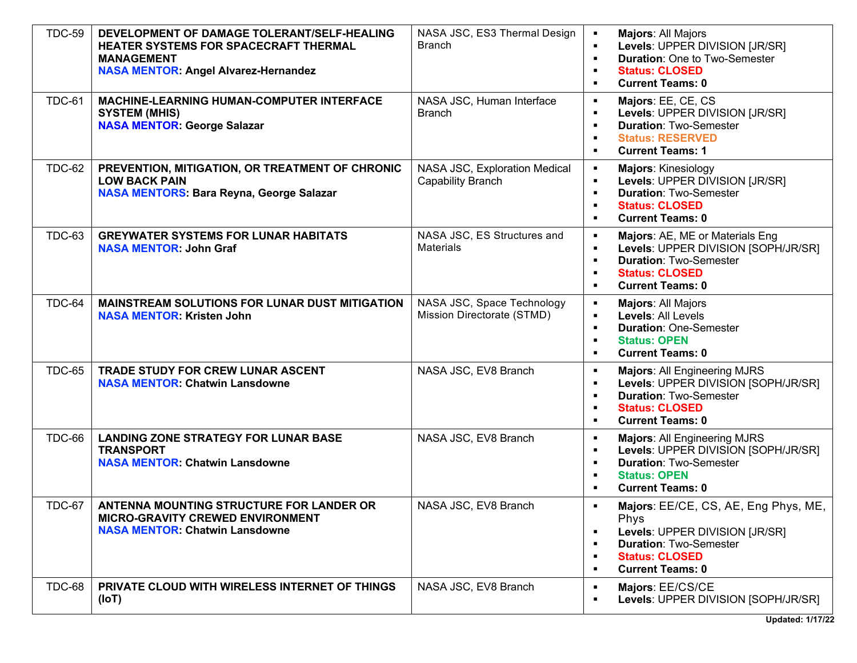| <b>TDC-59</b> | DEVELOPMENT OF DAMAGE TOLERANT/SELF-HEALING<br>HEATER SYSTEMS FOR SPACECRAFT THERMAL<br><b>MANAGEMENT</b><br><b>NASA MENTOR: Angel Alvarez-Hernandez</b> | NASA JSC, ES3 Thermal Design<br><b>Branch</b>             | Majors: All Majors<br>п<br>Levels: UPPER DIVISION [JR/SR]<br><b>Duration: One to Two-Semester</b><br>$\blacksquare$<br><b>Status: CLOSED</b><br>п<br><b>Current Teams: 0</b><br>$\blacksquare$                                                                |
|---------------|----------------------------------------------------------------------------------------------------------------------------------------------------------|-----------------------------------------------------------|---------------------------------------------------------------------------------------------------------------------------------------------------------------------------------------------------------------------------------------------------------------|
| <b>TDC-61</b> | <b>MACHINE-LEARNING HUMAN-COMPUTER INTERFACE</b><br><b>SYSTEM (MHIS)</b><br><b>NASA MENTOR: George Salazar</b>                                           | NASA JSC, Human Interface<br><b>Branch</b>                | Majors: EE, CE, CS<br>$\blacksquare$<br>Levels: UPPER DIVISION [JR/SR]<br>$\blacksquare$<br><b>Duration: Two-Semester</b><br>$\blacksquare$<br><b>Status: RESERVED</b><br>п<br><b>Current Teams: 1</b><br>$\blacksquare$                                      |
| <b>TDC-62</b> | PREVENTION, MITIGATION, OR TREATMENT OF CHRONIC<br><b>LOW BACK PAIN</b><br><b>NASA MENTORS: Bara Reyna, George Salazar</b>                               | NASA JSC, Exploration Medical<br><b>Capability Branch</b> | Majors: Kinesiology<br>$\blacksquare$<br>Levels: UPPER DIVISION [JR/SR]<br>$\blacksquare$<br><b>Duration: Two-Semester</b><br>$\blacksquare$<br><b>Status: CLOSED</b><br>$\blacksquare$<br><b>Current Teams: 0</b><br>$\blacksquare$                          |
| <b>TDC-63</b> | <b>GREYWATER SYSTEMS FOR LUNAR HABITATS</b><br><b>NASA MENTOR: John Graf</b>                                                                             | NASA JSC, ES Structures and<br><b>Materials</b>           | Majors: AE, ME or Materials Eng<br>$\blacksquare$<br>Levels: UPPER DIVISION [SOPH/JR/SR]<br>п<br><b>Duration: Two-Semester</b><br>$\blacksquare$<br><b>Status: CLOSED</b><br>$\blacksquare$<br><b>Current Teams: 0</b><br>$\blacksquare$                      |
| <b>TDC-64</b> | <b>MAINSTREAM SOLUTIONS FOR LUNAR DUST MITIGATION</b><br><b>NASA MENTOR: Kristen John</b>                                                                | NASA JSC, Space Technology<br>Mission Directorate (STMD)  | Majors: All Majors<br>$\blacksquare$<br>Levels: All Levels<br>$\blacksquare$<br><b>Duration: One-Semester</b><br>$\blacksquare$<br><b>Status: OPEN</b><br>$\blacksquare$<br><b>Current Teams: 0</b><br>п                                                      |
| <b>TDC-65</b> | TRADE STUDY FOR CREW LUNAR ASCENT<br><b>NASA MENTOR: Chatwin Lansdowne</b>                                                                               | NASA JSC, EV8 Branch                                      | <b>Majors: All Engineering MJRS</b><br>$\blacksquare$<br>Levels: UPPER DIVISION [SOPH/JR/SR]<br>$\blacksquare$<br><b>Duration: Two-Semester</b><br>$\blacksquare$<br><b>Status: CLOSED</b><br>п<br><b>Current Teams: 0</b><br>$\blacksquare$                  |
| <b>TDC-66</b> | <b>LANDING ZONE STRATEGY FOR LUNAR BASE</b><br><b>TRANSPORT</b><br><b>NASA MENTOR: Chatwin Lansdowne</b>                                                 | NASA JSC, EV8 Branch                                      | $\blacksquare$<br><b>Majors: All Engineering MJRS</b><br>Levels: UPPER DIVISION [SOPH/JR/SR]<br>$\blacksquare$<br><b>Duration: Two-Semester</b><br>$\blacksquare$<br><b>Status: OPEN</b><br>$\blacksquare$<br><b>Current Teams: 0</b><br>п                    |
| <b>TDC-67</b> | ANTENNA MOUNTING STRUCTURE FOR LANDER OR<br>MICRO-GRAVITY CREWED ENVIRONMENT<br><b>NASA MENTOR. Chatwin Lansdowne</b>                                    | NASA JSC, EV8 Branch                                      | Majors: EE/CE, CS, AE, Eng Phys, ME,<br>$\blacksquare$<br>Phys<br>Levels: UPPER DIVISION [JR/SR]<br>$\blacksquare$<br><b>Duration: Two-Semester</b><br>$\blacksquare$<br><b>Status: CLOSED</b><br>$\blacksquare$<br><b>Current Teams: 0</b><br>$\blacksquare$ |
| <b>TDC-68</b> | PRIVATE CLOUD WITH WIRELESS INTERNET OF THINGS<br>(IoT)                                                                                                  | NASA JSC, EV8 Branch                                      | Majors: EE/CS/CE<br>$\blacksquare$<br>Levels: UPPER DIVISION [SOPH/JR/SR]<br>$\blacksquare$                                                                                                                                                                   |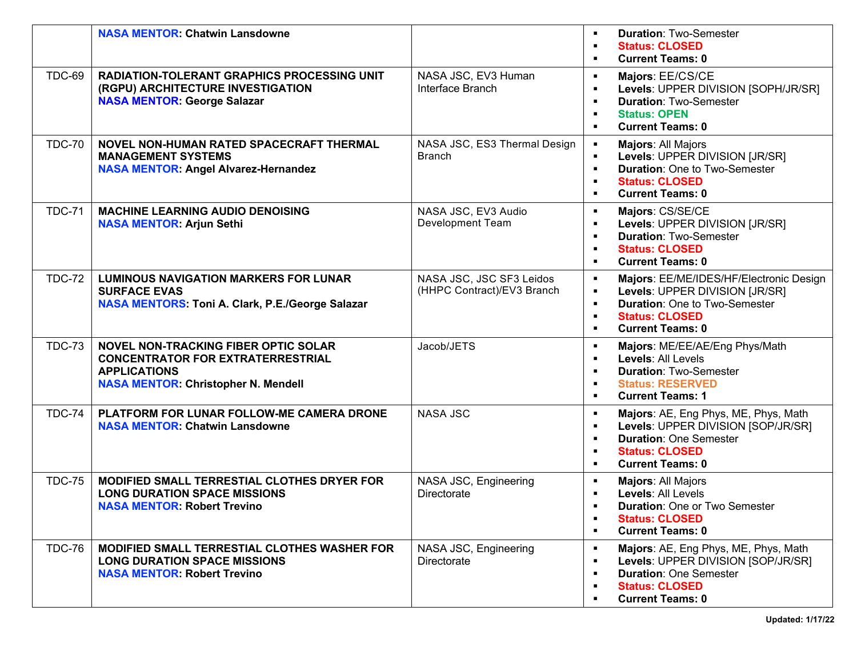|               | <b>NASA MENTOR: Chatwin Lansdowne</b>                                                                                                                        |                                                        | <b>Duration: Two-Semester</b><br><b>Status: CLOSED</b><br>$\blacksquare$<br><b>Current Teams: 0</b><br>п                                                                                                                                                        |
|---------------|--------------------------------------------------------------------------------------------------------------------------------------------------------------|--------------------------------------------------------|-----------------------------------------------------------------------------------------------------------------------------------------------------------------------------------------------------------------------------------------------------------------|
| <b>TDC-69</b> | <b>RADIATION-TOLERANT GRAPHICS PROCESSING UNIT</b><br>(RGPU) ARCHITECTURE INVESTIGATION<br><b>NASA MENTOR: George Salazar</b>                                | NASA JSC, EV3 Human<br>Interface Branch                | Majors: EE/CS/CE<br>$\blacksquare$<br>Levels: UPPER DIVISION [SOPH/JR/SR]<br>$\blacksquare$<br><b>Duration: Two-Semester</b><br>$\blacksquare$<br><b>Status: OPEN</b><br>п<br><b>Current Teams: 0</b><br>$\blacksquare$                                         |
| <b>TDC-70</b> | NOVEL NON-HUMAN RATED SPACECRAFT THERMAL<br><b>MANAGEMENT SYSTEMS</b><br><b>NASA MENTOR: Angel Alvarez-Hernandez</b>                                         | NASA JSC, ES3 Thermal Design<br><b>Branch</b>          | Majors: All Majors<br>$\blacksquare$<br>Levels: UPPER DIVISION [JR/SR]<br>$\blacksquare$<br><b>Duration: One to Two-Semester</b><br>$\blacksquare$<br><b>Status: CLOSED</b><br><b>Current Teams: 0</b><br>٠                                                     |
| <b>TDC-71</b> | <b>MACHINE LEARNING AUDIO DENOISING</b><br><b>NASA MENTOR: Arjun Sethi</b>                                                                                   | NASA JSC, EV3 Audio<br><b>Development Team</b>         | Majors: CS/SE/CE<br>$\blacksquare$<br>Levels: UPPER DIVISION [JR/SR]<br>$\blacksquare$<br><b>Duration: Two-Semester</b><br>$\blacksquare$<br><b>Status: CLOSED</b><br>п<br><b>Current Teams: 0</b><br>$\blacksquare$                                            |
| <b>TDC-72</b> | <b>LUMINOUS NAVIGATION MARKERS FOR LUNAR</b><br><b>SURFACE EVAS</b><br><b>NASA MENTORS: Toni A. Clark, P.E./George Salazar</b>                               | NASA JSC, JSC SF3 Leidos<br>(HHPC Contract)/EV3 Branch | Majors: EE/ME/IDES/HF/Electronic Design<br>$\blacksquare$<br>Levels: UPPER DIVISION [JR/SR]<br>$\blacksquare$<br><b>Duration: One to Two-Semester</b><br>$\blacksquare$<br><b>Status: CLOSED</b><br>$\blacksquare$<br><b>Current Teams: 0</b><br>$\blacksquare$ |
| <b>TDC-73</b> | <b>NOVEL NON-TRACKING FIBER OPTIC SOLAR</b><br><b>CONCENTRATOR FOR EXTRATERRESTRIAL</b><br><b>APPLICATIONS</b><br><b>NASA MENTOR: Christopher N. Mendell</b> | Jacob/JETS                                             | Majors: ME/EE/AE/Eng Phys/Math<br>$\blacksquare$<br>Levels: All Levels<br>$\blacksquare$<br><b>Duration: Two-Semester</b><br>$\blacksquare$<br><b>Status: RESERVED</b><br>п<br><b>Current Teams: 1</b><br>$\blacksquare$                                        |
| <b>TDC-74</b> | PLATFORM FOR LUNAR FOLLOW-ME CAMERA DRONE<br><b>NASA MENTOR: Chatwin Lansdowne</b>                                                                           | <b>NASA JSC</b>                                        | Majors: AE, Eng Phys, ME, Phys, Math<br>$\blacksquare$<br>Levels: UPPER DIVISION [SOP/JR/SR]<br>$\blacksquare$<br><b>Duration: One Semester</b><br>п<br><b>Status: CLOSED</b><br>п<br><b>Current Teams: 0</b><br>$\blacksquare$                                 |
| <b>TDC-75</b> | <b>MODIFIED SMALL TERRESTIAL CLOTHES DRYER FOR</b><br><b>LONG DURATION SPACE MISSIONS</b><br><b>NASA MENTOR: Robert Trevino</b>                              | NASA JSC, Engineering<br>Directorate                   | Majors: All Majors<br>$\blacksquare$<br>Levels: All Levels<br>$\blacksquare$<br><b>Duration: One or Two Semester</b><br><b>Status: CLOSED</b><br>п<br><b>Current Teams: 0</b><br>$\blacksquare$                                                                 |
| <b>TDC-76</b> | MODIFIED SMALL TERRESTIAL CLOTHES WASHER FOR<br><b>LONG DURATION SPACE MISSIONS</b><br><b>NASA MENTOR: Robert Trevino</b>                                    | NASA JSC, Engineering<br>Directorate                   | Majors: AE, Eng Phys, ME, Phys, Math<br>$\blacksquare$<br>Levels: UPPER DIVISION [SOP/JR/SR]<br>$\blacksquare$<br><b>Duration: One Semester</b><br>$\blacksquare$<br><b>Status: CLOSED</b><br>$\blacksquare$<br><b>Current Teams: 0</b>                         |